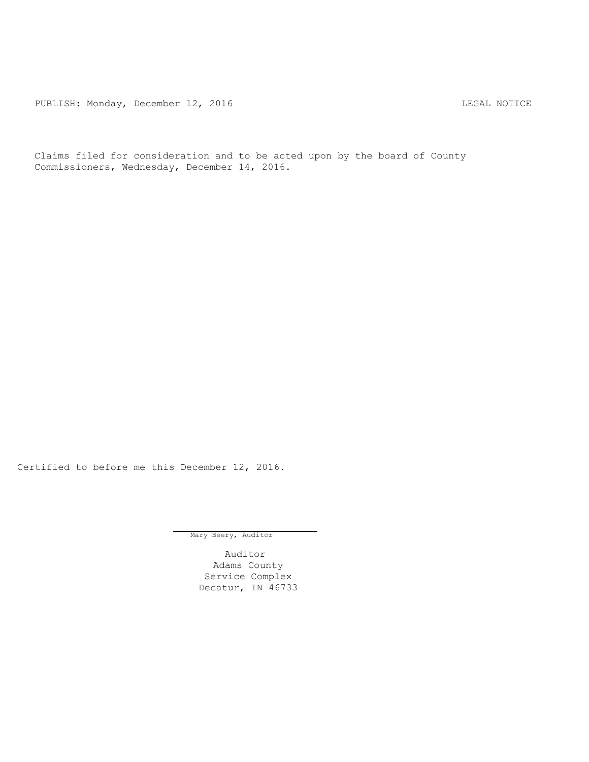PUBLISH: Monday, December 12, 2016 CHA CHANGE CONSTRUCTED AND THE LEGAL NOTICE

Claims filed for consideration and to be acted upon by the board of County Commissioners, Wednesday, December 14, 2016.

Certified to before me this December 12, 2016.

Mary Beery, Auditor

Auditor Adams County Service Complex Decatur, IN 46733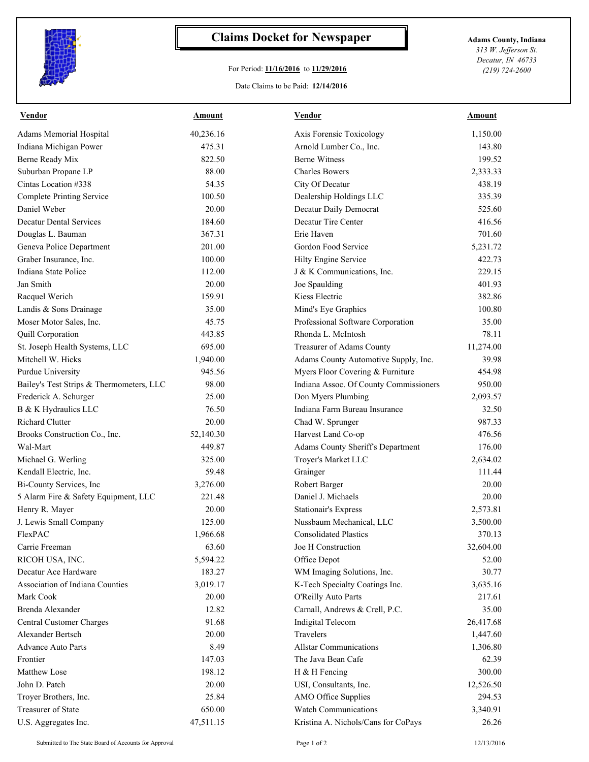

## **Claims Docket for Newspaper Adams County, Indiana**

## For Period: **11/16/2016** to **11/29/2016**

Date Claims to be Paid: **12/14/2016**

*313 W. Jefferson St. Decatur, IN 46733 (219) 724-2600*

| <b>Vendor</b>                            | <u>Amount</u>      | <b>Vendor</b>                          | <u>Amount</u> |
|------------------------------------------|--------------------|----------------------------------------|---------------|
| Adams Memorial Hospital                  | 40,236.16          | Axis Forensic Toxicology               | 1,150.00      |
| Indiana Michigan Power                   | 475.31             | Arnold Lumber Co., Inc.                | 143.80        |
| <b>Berne Ready Mix</b>                   | 822.50             | <b>Berne Witness</b>                   | 199.52        |
| Suburban Propane LP                      | 88.00              | <b>Charles Bowers</b>                  | 2,333.33      |
| Cintas Location #338                     | 54.35              | City Of Decatur                        | 438.19        |
| <b>Complete Printing Service</b>         | 100.50             | Dealership Holdings LLC                | 335.39        |
| Daniel Weber                             | 20.00              | Decatur Daily Democrat                 | 525.60        |
| <b>Decatur Dental Services</b>           | 184.60             | Decatur Tire Center                    | 416.56        |
| Douglas L. Bauman                        | 367.31             | Erie Haven                             | 701.60        |
| Geneva Police Department                 | 201.00             | Gordon Food Service                    | 5,231.72      |
| Graber Insurance, Inc.                   | 100.00             | Hilty Engine Service                   | 422.73        |
| Indiana State Police                     | 112.00             | J & K Communications, Inc.             | 229.15        |
| Jan Smith                                | 20.00              | Joe Spaulding                          | 401.93        |
| Racquel Werich                           | 159.91             | Kiess Electric                         | 382.86        |
| Landis & Sons Drainage                   | 35.00              | Mind's Eye Graphics                    | 100.80        |
| Moser Motor Sales, Inc.                  | 45.75              | Professional Software Corporation      | 35.00         |
| Quill Corporation                        | 443.85             | Rhonda L. McIntosh                     | 78.11         |
| St. Joseph Health Systems, LLC           | 695.00             | Treasurer of Adams County              | 11,274.00     |
| Mitchell W. Hicks                        | 1,940.00           | Adams County Automotive Supply, Inc.   | 39.98         |
| Purdue University                        | 945.56             | Myers Floor Covering & Furniture       | 454.98        |
| Bailey's Test Strips & Thermometers, LLC | 98.00              | Indiana Assoc. Of County Commissioners | 950.00        |
| Frederick A. Schurger                    | 25.00              | Don Myers Plumbing                     | 2,093.57      |
| B & K Hydraulics LLC                     | 76.50              | Indiana Farm Bureau Insurance          | 32.50         |
| <b>Richard Clutter</b>                   | 20.00              | Chad W. Sprunger                       | 987.33        |
| Brooks Construction Co., Inc.            | 52,140.30          | Harvest Land Co-op                     | 476.56        |
| Wal-Mart                                 | 449.87             | Adams County Sheriff's Department      | 176.00        |
| Michael G. Werling                       | 325.00             | Troyer's Market LLC                    | 2,634.02      |
| Kendall Electric, Inc.                   | 59.48              | Grainger                               | 111.44        |
| Bi-County Services, Inc                  |                    |                                        | 20.00         |
|                                          | 3,276.00<br>221.48 | Robert Barger<br>Daniel J. Michaels    |               |
| 5 Alarm Fire & Safety Equipment, LLC     |                    |                                        | 20.00         |
| Henry R. Mayer                           | 20.00              | <b>Stationair's Express</b>            | 2,573.81      |
| J. Lewis Small Company                   | 125.00             | Nussbaum Mechanical, LLC               | 3,500.00      |
| FlexPAC                                  | 1,966.68           | <b>Consolidated Plastics</b>           | 370.13        |
| Carrie Freeman                           | 63.60              | Joe H Construction                     | 32,604.00     |
| RICOH USA, INC.                          | 5,594.22           | Office Depot                           | 52.00         |
| Decatur Ace Hardware                     | 183.27             | WM Imaging Solutions, Inc.             | 30.77         |
| Association of Indiana Counties          | 3,019.17           | K-Tech Specialty Coatings Inc.         | 3,635.16      |
| Mark Cook                                | 20.00              | O'Reilly Auto Parts                    | 217.61        |
| Brenda Alexander                         | 12.82              | Carnall, Andrews & Crell, P.C.         | 35.00         |
| Central Customer Charges                 | 91.68              | <b>Indigital Telecom</b>               | 26,417.68     |
| Alexander Bertsch                        | 20.00              | Travelers                              | 1,447.60      |
| <b>Advance Auto Parts</b>                | 8.49               | <b>Allstar Communications</b>          | 1,306.80      |
| Frontier                                 | 147.03             | The Java Bean Cafe                     | 62.39         |
| Matthew Lose                             | 198.12             | H & H Fencing                          | 300.00        |
| John D. Patch                            | 20.00              | USI, Consultants, Inc.                 | 12,526.50     |
| Troyer Brothers, Inc.                    | 25.84              | AMO Office Supplies                    | 294.53        |
| <b>Treasurer of State</b>                | 650.00             | <b>Watch Communications</b>            | 3,340.91      |
| U.S. Aggregates Inc.                     | 47,511.15          | Kristina A. Nichols/Cans for CoPays    | 26.26         |